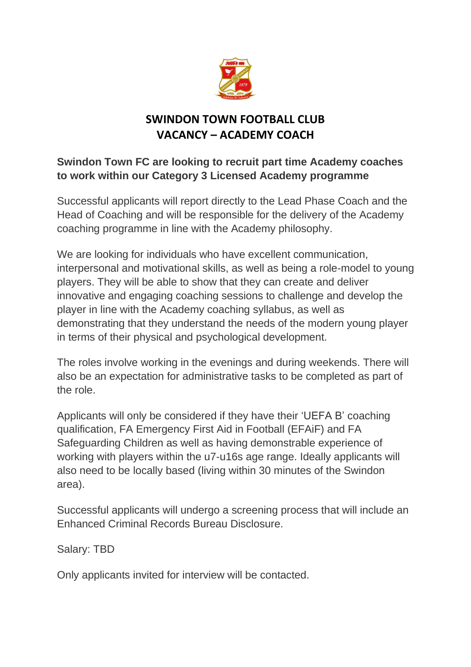

## **SWINDON TOWN FOOTBALL CLUB VACANCY – ACADEMY COACH**

## **Swindon Town FC are looking to recruit part time Academy coaches to work within our Category 3 Licensed Academy programme**

Successful applicants will report directly to the Lead Phase Coach and the Head of Coaching and will be responsible for the delivery of the Academy coaching programme in line with the Academy philosophy.

We are looking for individuals who have excellent communication, interpersonal and motivational skills, as well as being a role-model to young players. They will be able to show that they can create and deliver innovative and engaging coaching sessions to challenge and develop the player in line with the Academy coaching syllabus, as well as demonstrating that they understand the needs of the modern young player in terms of their physical and psychological development.

The roles involve working in the evenings and during weekends. There will also be an expectation for administrative tasks to be completed as part of the role.

Applicants will only be considered if they have their 'UEFA B' coaching qualification, FA Emergency First Aid in Football (EFAiF) and FA Safeguarding Children as well as having demonstrable experience of working with players within the u7-u16s age range. Ideally applicants will also need to be locally based (living within 30 minutes of the Swindon area).

Successful applicants will undergo a screening process that will include an Enhanced Criminal Records Bureau Disclosure.

Salary: TBD

Only applicants invited for interview will be contacted.